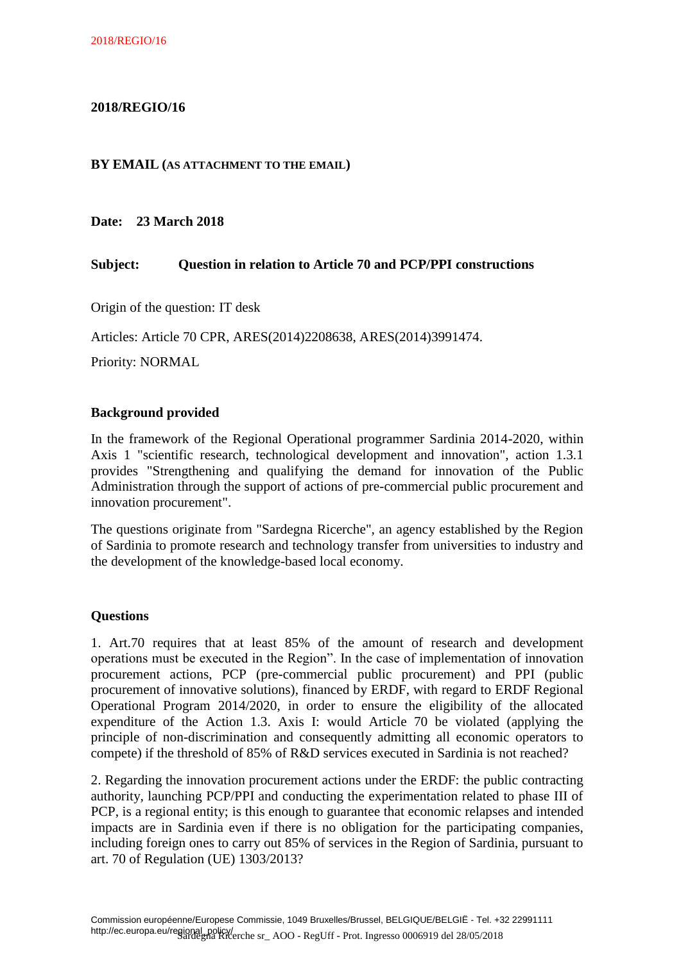## **2018/REGIO/16**

#### **BY EMAIL (AS ATTACHMENT TO THE EMAIL)**

**Date: 23 March 2018**

### **Subject: Question in relation to Article 70 and PCP/PPI constructions**

Origin of the question: IT desk

Articles: Article 70 CPR, ARES(2014)2208638, ARES(2014)3991474.

Priority: NORMAL

#### **Background provided**

In the framework of the Regional Operational programmer Sardinia 2014-2020, within Axis 1 "scientific research, technological development and innovation", action 1.3.1 provides "Strengthening and qualifying the demand for innovation of the Public Administration through the support of actions of pre-commercial public procurement and innovation procurement".

The questions originate from "Sardegna Ricerche", an agency established by the Region of Sardinia to promote research and technology transfer from universities to industry and the development of the knowledge-based local economy.

#### **Questions**

1. Art.70 requires that at least 85% of the amount of research and development operations must be executed in the Region". In the case of implementation of innovation procurement actions, PCP (pre-commercial public procurement) and PPI (public procurement of innovative solutions), financed by ERDF, with regard [to ERDF Regional](http://context.reverso.net/traduzione/inglese-italiano/to+axis+1)  [Operational Program 2014/2020, in order to ensure the eligibility of the allocated](http://context.reverso.net/traduzione/inglese-italiano/to+axis+1)  [expenditure of the](http://context.reverso.net/traduzione/inglese-italiano/to+axis+1) Action 1.3. Axis I: would Article 70 be violated (applying the principle of non-discrimination and consequently admitting all economic operators to compete) if the threshold of 85% of R&D services executed in Sardinia is not reached?

2. Regarding the innovation procurement actions under the ERDF: the public contracting authority, launching PCP/PPI and conducting the experimentation related to phase III of PCP, is a regional entity; is this enough to guarantee that economic relapses and intended impacts are in Sardinia even if there is no obligation for the participating companies, including foreign ones to carry out 85% of services in the Region of Sardinia, pursuant to art. 70 of Regulation (UE) 1303/2013?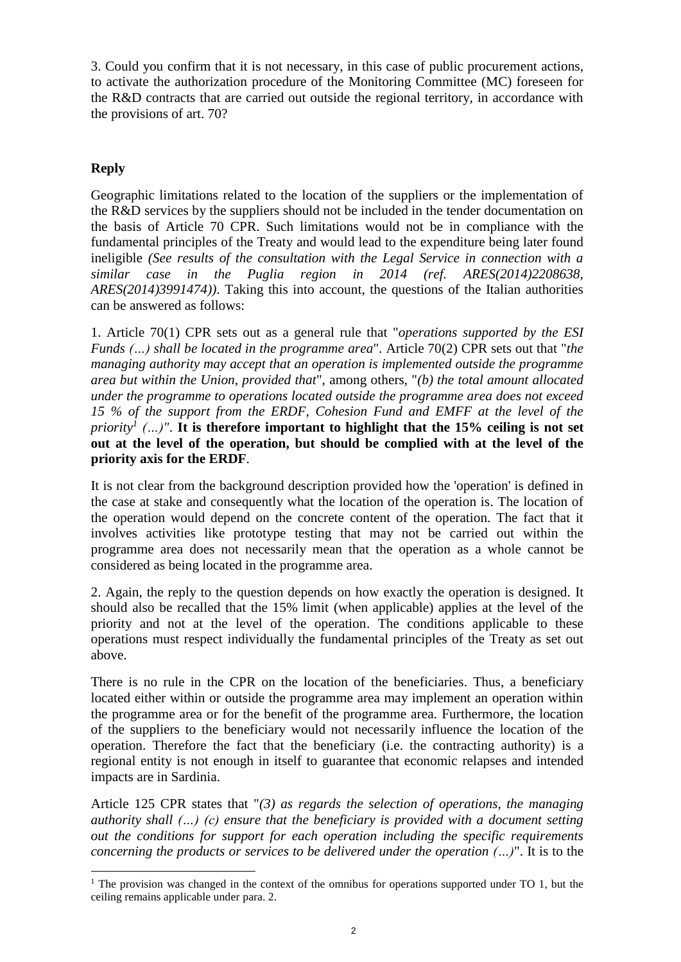3. Could you confirm that it is not necessary, in this case of public procurement actions, to activate the authorization procedure of the Monitoring Committee (MC) foreseen for the R&D contracts that are carried out outside the regional territory, in accordance with the provisions of art. 70?

# **Reply**

Geographic limitations related to the location of the suppliers or the implementation of the R&D services by the suppliers should not be included in the tender documentation on the basis of Article 70 CPR. Such limitations would not be in compliance with the fundamental principles of the Treaty and would lead to the expenditure being later found ineligible *(See results of the consultation with the Legal Service in connection with a similar case in the Puglia region in 2014 (ref. ARES(2014)2208638, ARES(2014)3991474))*. Taking this into account, the questions of the Italian authorities can be answered as follows:

1. Article 70(1) CPR sets out as a general rule that "*operations supported by the ESI Funds (…) shall be located in the programme area*". Article 70(2) CPR sets out that "*the managing authority may accept that an operation is implemented outside the programme area but within the Union, provided that*", among others, "*(b) the total amount allocated under the programme to operations located outside the programme area does not exceed 15 % of the support from the ERDF, Cohesion Fund and EMFF at the level of the priority<sup>1</sup> (…)"*. **It is therefore important to highlight that the 15% ceiling is not set out at the level of the operation, but should be complied with at the level of the priority axis for the ERDF**.

It is not clear from the background description provided how the 'operation' is defined in the case at stake and consequently what the location of the operation is. The location of the operation would depend on the concrete content of the operation. The fact that it involves activities like prototype testing that may not be carried out within the programme area does not necessarily mean that the operation as a whole cannot be considered as being located in the programme area.

2. Again, the reply to the question depends on how exactly the operation is designed. It should also be recalled that the 15% limit (when applicable) applies at the level of the priority and not at the level of the operation. The conditions applicable to these operations must respect individually the fundamental principles of the Treaty as set out above.

There is no rule in the CPR on the location of the beneficiaries. Thus, a beneficiary located either within or outside the programme area may implement an operation within the programme area or for the benefit of the programme area. Furthermore, the location of the suppliers to the beneficiary would not necessarily influence the location of the operation. Therefore the fact that the beneficiary (i.e. the contracting authority) is a regional entity is not enough in itself to guarantee that economic relapses and intended impacts are in Sardinia.

Article 125 CPR states that "*(3) as regards the selection of operations, the managing authority shall (…) (c) ensure that the beneficiary is provided with a document setting out the conditions for support for each operation including the specific requirements concerning the products or services to be delivered under the operation (…)*". It is to the

**<sup>.</sup>** <sup>1</sup> The provision was changed in the context of the omnibus for operations supported under TO 1, but the ceiling remains applicable under para. 2.